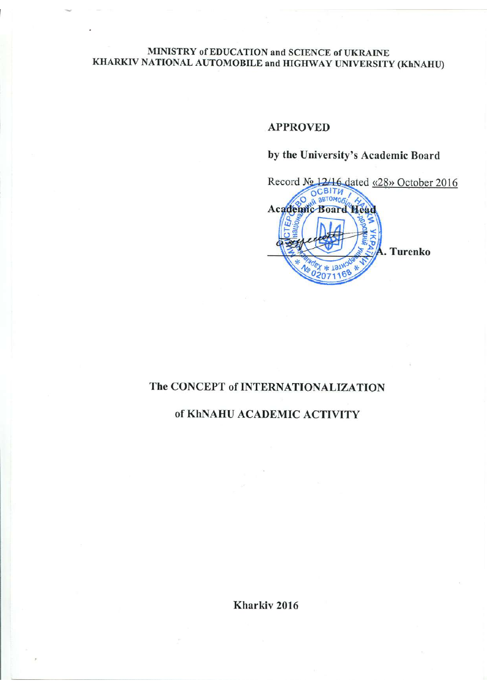#### MINISTRY of EDUCATION and SCIENCE of UKRAINE KHARKIV NATIONAL AUTOMOBILE and HIGHWAY UNIVERSITY (KhNAHU)

#### **APPROVED**

# by the University's Academic Board



## The CONCEPT of INTERNATIONALIZATION

### of KhNAHU ACADEMIC ACTIVITY

Kharkiv<sub>2016</sub>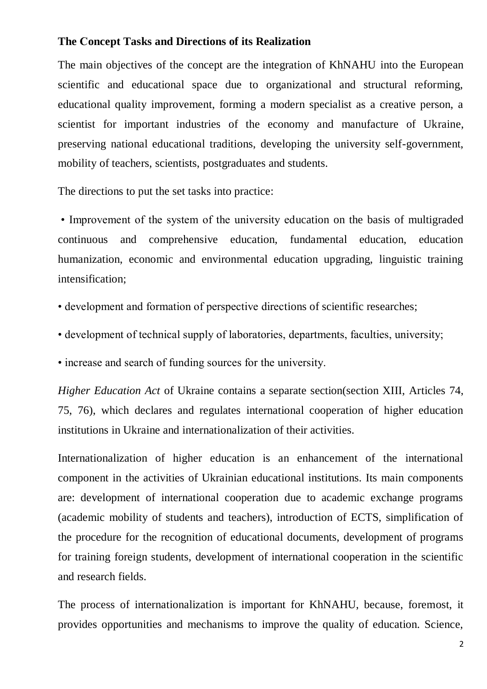## **The Сoncept Tasks and Directions of its Realization**

The main objectives of the concept are the integration of KhNAHU into the European scientific and educational space due to organizational and structural reforming, educational quality improvement, forming a modern specialist as a creative person, a scientist for important industries of the economy and manufacture of Ukraine, preserving national educational traditions, developing the university self-government, mobility of teachers, scientists, postgraduates and students.

The directions to put the set tasks into practice:

• Improvement of the system of the university education on the basis of multigraded continuous and comprehensive education, fundamental education, education humanization, economic and environmental education upgrading, linguistic training intensification;

- development and formation of perspective directions of scientific researches;
- development of technical supply of laboratories, departments, faculties, university;

• increase and search of funding sources for the university.

*Higher Education Act* of Ukraine contains a separate section(section XIII, Articles 74, 75, 76), which declares and regulates international cooperation of higher education institutions in Ukraine and internationalization of their activities.

Internationalization of higher education is an enhancement of the international component in the activities of Ukrainian educational institutions. Its main components are: development of international cooperation due to academic exchange programs (academic mobility of students and teachers), introduction of ECTS, simplification of the procedure for the recognition of educational documents, development of programs for training foreign students, development of international cooperation in the scientific and research fields.

The process of internationalization is important for KhNAHU, because, foremost, it provides opportunities and mechanisms to improve the quality of education. Science,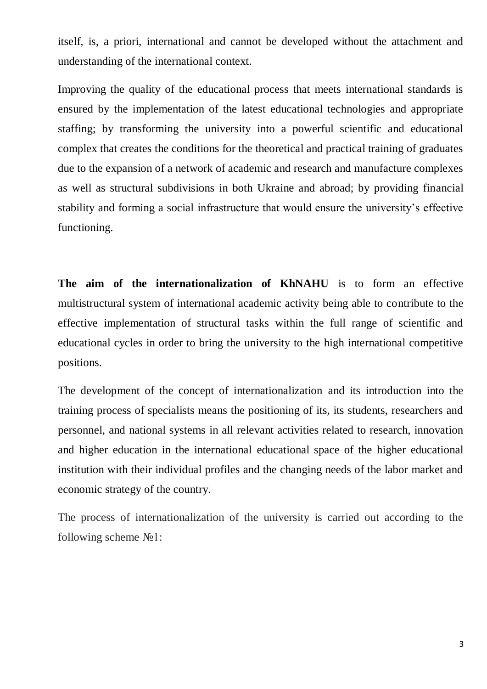itself, is, a priori, international and cannot be developed without the attachment and understanding of the international context.

Improving the quality of the educational process that meets international standards is ensured by the implementation of the latest educational technologies and appropriate staffing; by transforming the university into a powerful scientific and educational complex that creates the conditions for the theoretical and practical training of graduates due to the expansion of a network of academic and research and manufacture complexes as well as structural subdivisions in both Ukraine and abroad; by providing financial stability and forming a social infrastructure that would ensure the university's effective functioning.

**The aim of the internationalization of KhNAHU** is to form an effective multistructural system of international academic activity being able to contribute to the effective implementation of structural tasks within the full range of scientific and educational cycles in order to bring the university to the high international competitive positions.

The development of the concept of internationalization and its introduction into the training process of specialists means the positioning of its, its students, researchers and personnel, and national systems in all relevant activities related to research, innovation and higher education in the international educational space of the higher educational institution with their individual profiles and the changing needs of the labor market and economic strategy of the country.

The process of internationalization of the university is carried out according to the following scheme  $N_2$ 1: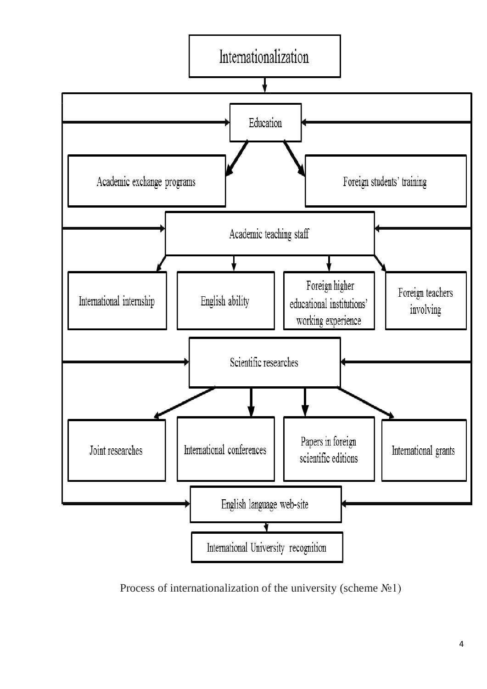

Process of internationalization of the university (scheme №1)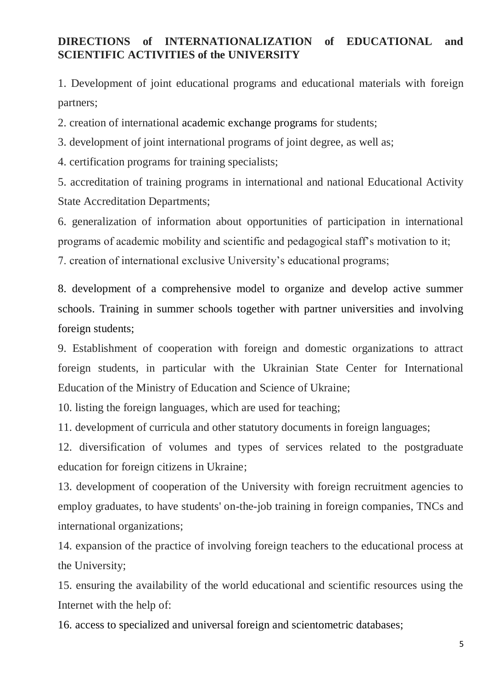## **DIRECTIONS of INTERNATIONALIZATION of EDUCATIONAL and SCIENTIFIC ACTIVITIES of the UNIVERSITY**

1. Development of joint educational programs and educational materials with foreign partners;

2. creation of international academic exchange programs for students;

3. development of joint international programs of joint degree, as well as;

4. certification programs for training specialists;

5. accreditation of training programs in international and national Educational Activity State Accreditation Departments;

6. generalization of information about opportunities of participation in international programs of academic mobility and scientific and pedagogical staff's motivation to it; 7. creation of international exclusive University's educational programs;

8. development of a comprehensive model to organize and develop active summer schools. Training in summer schools together with partner universities and involving foreign students;

9. Establishment of cooperation with foreign and domestic organizations to attract foreign students, in particular with the Ukrainian State Center for International Education of the Ministry of Education and Science of Ukraine;

10. listing the foreign languages, which are used for teaching;

11. development of curricula and other statutory documents in foreign languages;

12. diversification of volumes and types of services related to the postgraduate education for foreign citizens in Ukraine;

13. development of cooperation of the University with foreign recruitment agencies to employ graduates, to have students' on-the-job training in foreign companies, TNCs and international organizations;

14. expansion of the practice of involving foreign teachers to the educational process at the University;

15. ensuring the availability of the world educational and scientific resources using the Internet with the help of:

16. access to specialized and universal foreign and scientometric databases;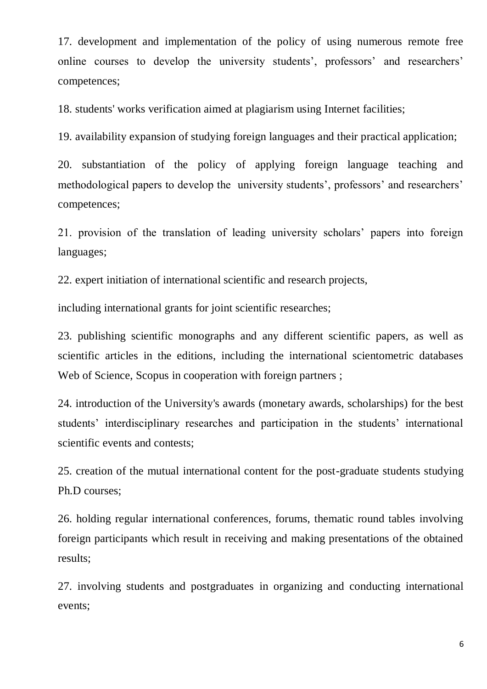17. development and implementation of the policy of using numerous remote free online courses to develop the university students', professors' and researchers' competences;

18. students' works verification aimed at plagiarism using Internet facilities;

19. availability expansion of studying foreign languages and their practical application;

20. substantiation of the policy of applying foreign language teaching and methodological papers to develop the university students', professors' and researchers' competences;

21. provision of the translation of leading university scholars' papers into foreign languages;

22. expert initiation of international scientific and research projects,

including international grants for joint scientific researches;

23. publishing scientific monographs and any different scientific papers, as well as scientific articles in the editions, including the international scientometric databases Web of Science, Scopus in cooperation with foreign partners;

24. introduction of the University's awards (monetary awards, scholarships) for the best students' interdisciplinary researches and participation in the students' international scientific events and contests;

25. creation of the mutual international content for the post-graduate students studying Ph.D courses;

26. holding regular international conferences, forums, thematic round tables involving foreign participants which result in receiving and making presentations of the obtained results;

27. involving students and postgraduates in organizing and conducting international events;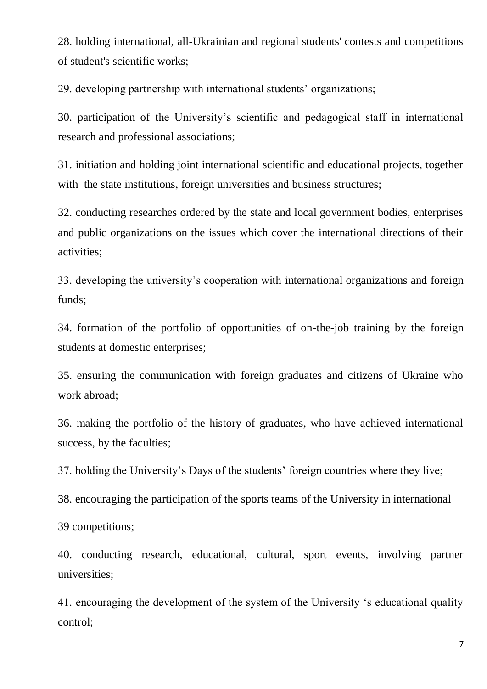28. holding international, all-Ukrainian and regional students' contests and competitions of student's scientific works;

29. developing partnership with international students' organizations;

30. participation of the University's scientific and pedagogical staff in international research and professional associations;

31. initiation and holding joint international scientific and educational projects, together with the state institutions, foreign universities and business structures;

32. conducting researches ordered by the state and local government bodies, enterprises and public organizations on the issues which cover the international directions of their activities;

33. developing the university's cooperation with international organizations and foreign funds;

34. formation of the portfolio of opportunities of on-the-job training by the foreign students at domestic enterprises;

35. ensuring the communication with foreign graduates and citizens of Ukraine who work abroad;

36. making the portfolio of the history of graduates, who have achieved international success, by the faculties;

37. holding the University's Days of the students' foreign countries where they live;

38. encouraging the participation of the sports teams of the University in international

39 competitions;

40. conducting research, educational, cultural, sport events, involving partner universities;

41. encouraging the development of the system of the University 's educational quality control;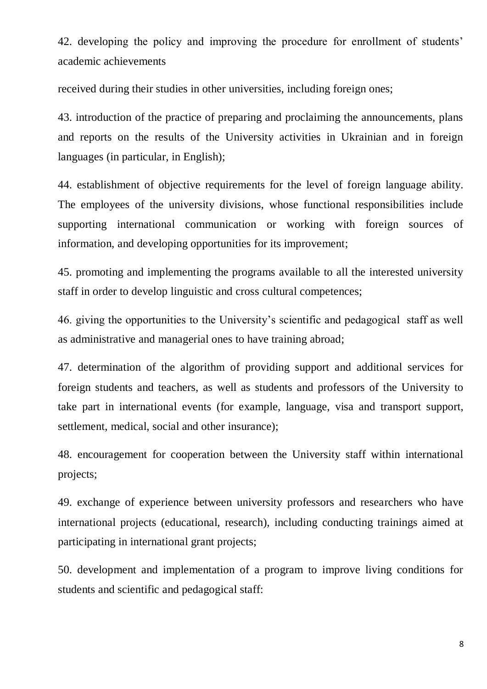42. developing the policy and improving the procedure for enrollment of students' academic achievements

received during their studies in other universities, including foreign ones;

43. introduction of the practice of preparing and proclaiming the announcements, plans and reports on the results of the University activities in Ukrainian and in foreign languages (in particular, in English);

44. establishment of objective requirements for the level of foreign language ability. The employees of the university divisions, whose functional responsibilities include supporting international communication or working with foreign sources of information, and developing opportunities for its improvement;

45. promoting and implementing the programs available to all the interested university staff in order to develop linguistic and cross cultural competences;

46. giving the opportunities to the University's scientific and pedagogical staff as well as administrative and managerial ones to have training abroad;

47. determination of the algorithm of providing support and additional services for foreign students and teachers, as well as students and professors of the University to take part in international events (for example, language, visa and transport support, settlement, medical, social and other insurance);

48. encouragement for cooperation between the University staff within international projects;

49. exchange of experience between university professors and researchers who have international projects (educational, research), including conducting trainings aimed at participating in international grant projects;

50. development and implementation of a program to improve living conditions for students and scientific and pedagogical staff:

8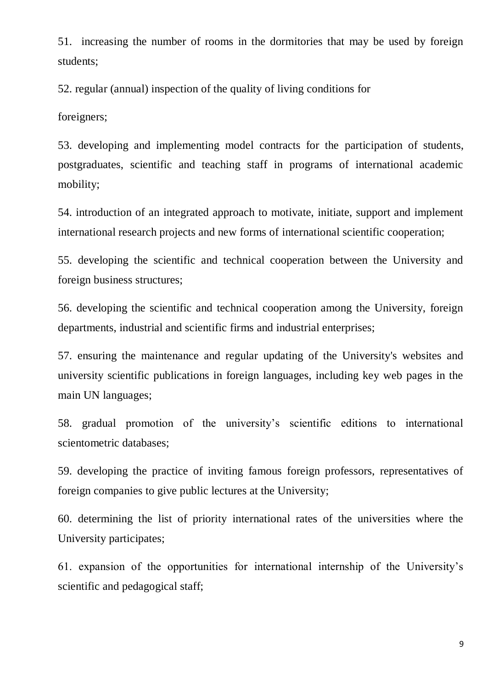51. increasing the number of rooms in the dormitories that may be used by foreign students;

52. regular (annual) inspection of the quality of living conditions for

foreigners;

53. developing and implementing model contracts for the participation of students, postgraduates, scientific and teaching staff in programs of international academic mobility;

54. introduction of an integrated approach to motivate, initiate, support and implement international research projects and new forms of international scientific cooperation;

55. developing the scientific and technical cooperation between the University and foreign business structures;

56. developing the scientific and technical cooperation among the University, foreign departments, industrial and scientific firms and industrial enterprises;

57. ensuring the maintenance and regular updating of the University's websites and university scientific publications in foreign languages, including key web pages in the main UN languages;

58. gradual promotion of the university's scientific editions to international scientometric databases;

59. developing the practice of inviting famous foreign professors, representatives of foreign companies to give public lectures at the University;

60. determining the list of priority international rates of the universities where the University participates;

61. expansion of the opportunities for international internship of the University's scientific and pedagogical staff;

9